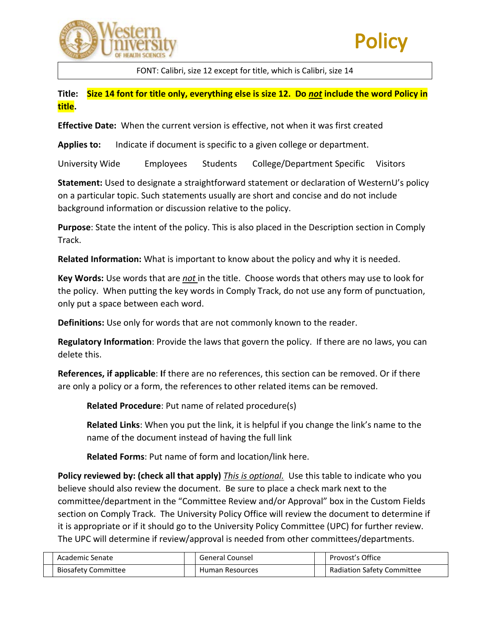



FONT: Calibri, size 12 except for title, which is Calibri, size 14

**Title: Size 14 font for title only, everything else is size 12. Do** *not* **include the word Policy in title.**

**Effective Date:** When the current version is effective, not when it was first created

**Applies to:** Indicate if document is specific to a given college or department.

University Wide Employees Students College/Department Specific Visitors

**Statement:** Used to designate a straightforward statement or declaration of WesternU's policy on a particular topic. Such statements usually are short and concise and do not include background information or discussion relative to the policy.

**Purpose**: State the intent of the policy. This is also placed in the Description section in Comply Track.

**Related Information:** What is important to know about the policy and why it is needed.

**Key Words:** Use words that are *not* in the title. Choose words that others may use to look for the policy. When putting the key words in Comply Track, do not use any form of punctuation, only put a space between each word.

**Definitions:** Use only for words that are not commonly known to the reader.

**Regulatory Information**: Provide the laws that govern the policy. If there are no laws, you can delete this.

**References, if applicable**: **I**f there are no references, this section can be removed. Or if there are only a policy or a form, the references to other related items can be removed.

**Related Procedure**: Put name of related procedure(s)

**Related Links**: When you put the link, it is helpful if you change the link's name to the name of the document instead of having the full link

**Related Forms**: Put name of form and location/link here.

**Policy reviewed by: (check all that apply)** *This is optional.*Use this table to indicate who you believe should also review the document. Be sure to place a check mark next to the committee/department in the "Committee Review and/or Approval" box in the Custom Fields section on Comply Track. The University Policy Office will review the document to determine if it is appropriate or if it should go to the University Policy Committee (UPC) for further review. The UPC will determine if review/approval is needed from other committees/departments.

| Academic Senate            | General Counsel | Provost's Office                  |
|----------------------------|-----------------|-----------------------------------|
| <b>Biosafety Committee</b> | Human Resources | <b>Radiation Safety Committee</b> |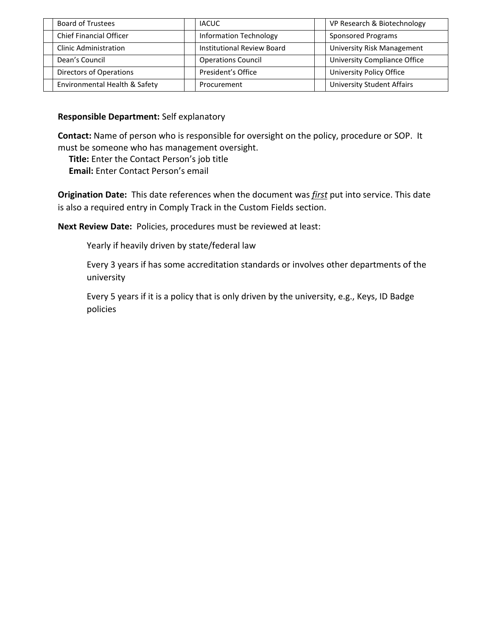| <b>Board of Trustees</b>       | <b>IACUC</b>                      | VP Research & Biotechnology       |
|--------------------------------|-----------------------------------|-----------------------------------|
| <b>Chief Financial Officer</b> | <b>Information Technology</b>     | Sponsored Programs                |
| <b>Clinic Administration</b>   | <b>Institutional Review Board</b> | <b>University Risk Management</b> |
| Dean's Council                 | <b>Operations Council</b>         | University Compliance Office      |
| <b>Directors of Operations</b> | President's Office                | University Policy Office          |
| Environmental Health & Safety  | Procurement                       | <b>University Student Affairs</b> |

# **Responsible Department:** Self explanatory

**Contact:** Name of person who is responsible for oversight on the policy, procedure or SOP. It must be someone who has management oversight.

 **Title:** Enter the Contact Person's job title  **Email:** Enter Contact Person's email

**Origination Date:** This date references when the document was *first* put into service. This date is also a required entry in Comply Track in the Custom Fields section.

**Next Review Date:** Policies, procedures must be reviewed at least:

Yearly if heavily driven by state/federal law

Every 3 years if has some accreditation standards or involves other departments of the university

Every 5 years if it is a policy that is only driven by the university, e.g., Keys, ID Badge policies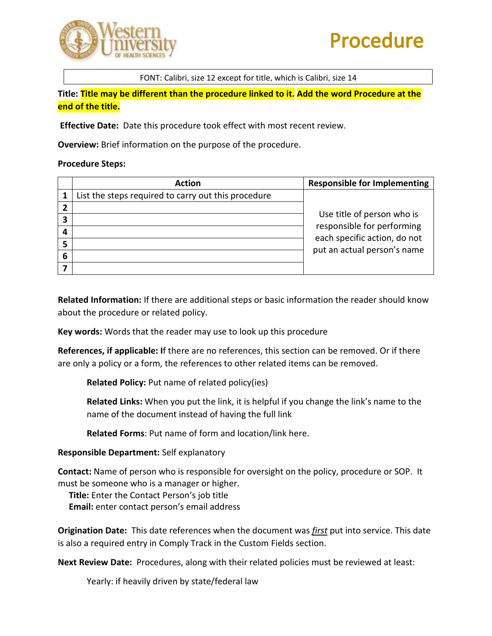

# **Procedure**

FONT: Calibri, size 12 except for title, which is Calibri, size 14

**Title: Title may be different than the procedure linked to it. Add the word Procedure at the end of the title.**

**Effective Date:** Date this procedure took effect with most recent review.

**Overview:** Brief information on the purpose of the procedure.

#### **Procedure Steps:**

|   | <b>Action</b>                                       | <b>Responsible for Implementing</b>                      |
|---|-----------------------------------------------------|----------------------------------------------------------|
|   | List the steps required to carry out this procedure |                                                          |
|   |                                                     |                                                          |
| 3 |                                                     | Use title of person who is<br>responsible for performing |
|   |                                                     | each specific action, do not                             |
|   |                                                     | put an actual person's name                              |
| 6 |                                                     |                                                          |
|   |                                                     |                                                          |

**Related Information:** If there are additional steps or basic information the reader should know about the procedure or related policy.

**Key words:** Words that the reader may use to look up this procedure

**References, if applicable: I**f there are no references, this section can be removed. Or if there are only a policy or a form, the references to other related items can be removed.

**Related Policy:** Put name of related policy(ies)

**Related Links:** When you put the link, it is helpful if you change the link's name to the name of the document instead of having the full link

**Related Forms**: Put name of form and location/link here.

#### **Responsible Department:** Self explanatory

**Contact:** Name of person who is responsible for oversight on the policy, procedure or SOP. It must be someone who is a manager or higher.

**Title:** Enter the Contact Person's job title

 **Email:** enter contact person's email address

**Origination Date:** This date references when the document was *first* put into service. This date is also a required entry in Comply Track in the Custom Fields section.

**Next Review Date:** Procedures, along with their related policies must be reviewed at least:

Yearly: if heavily driven by state/federal law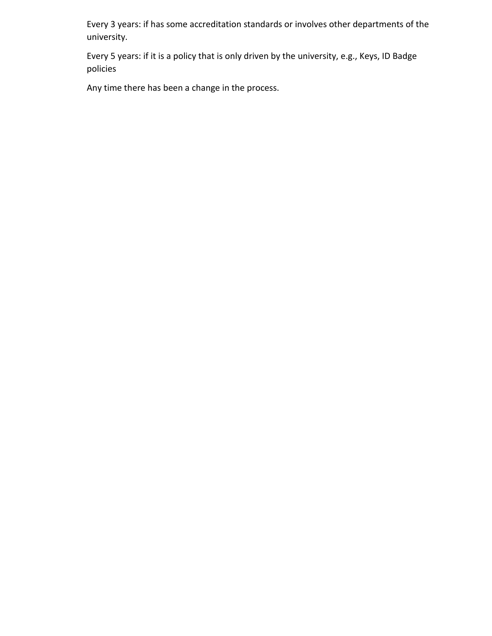Every 3 years: if has some accreditation standards or involves other departments of the university.

Every 5 years: if it is a policy that is only driven by the university, e.g., Keys, ID Badge policies

Any time there has been a change in the process.